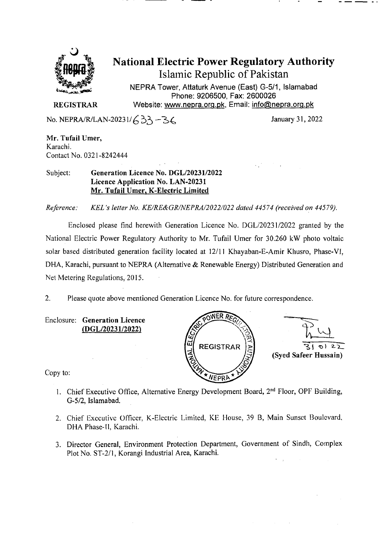

## National Electric Power Regulatory Authority Islamic Republic of Pakistan

**NEPRA Tower, Attaturk Avenue (East) G-5/1, Islamabad Phone: 9206500, Fax: 2600026 REGISTRAR Website: www.nepra.orq.pk, Email: info@nepra.orq.pk** 

No. NEPRA/R/LAN-20231/ $\left(\frac{3}{2}\right)$  - 3 $\left(\frac{3}{2}\right)$  January 31, 2022

Mr. Tufail Umer, Karachi. Contact No. 0321-8242444

Subject: Generation Licence No. DGL/20231/2022 Licence Application No. LAN**-20231 Mr. Tufail** Umer, K-Electric Limited

*Reference: KEL 's letler No. KE/RE&GR/NEPRA/2022/022 dated 44574 (received on 4457V.* 

Enclosed please find herewith Generation Licence No. DGL/2023 1/2022 granted by the National Electric Power Regulatory Authority to Mr. Tufail Umer for 30.260 kW photo voltaic solar based distributed generation facility located at 12/11 Khayaban-E-Amir Khusro, Phase-VI, DHA, Karachi, pursuant to NEPRA (Alternative & Renewable Energy) Distributed Generation and Net Metering Regulations, 2015.

2. Please quote above mentioned Generation Licence No. for future correspondence.

Enclosure: **Generation Licence (DGL/20231/2022)** 





Copy to:

- 1. Chief Executive Office, Alternative Energy Development Board, 2<sup>nd</sup> Floor, OPF Building, G-5/2, Islamabad.
- 2. Chief Executive Officer, K-Electric Limited, KE House, 39 B, Main Sunset Boulevard, DHA Phase-Il, Karachi.
- 3. Director General, Environment Protection Department, Government of Sindh, Complex Plot No. ST-2/I, Korangi Industrial Area, Karachi.